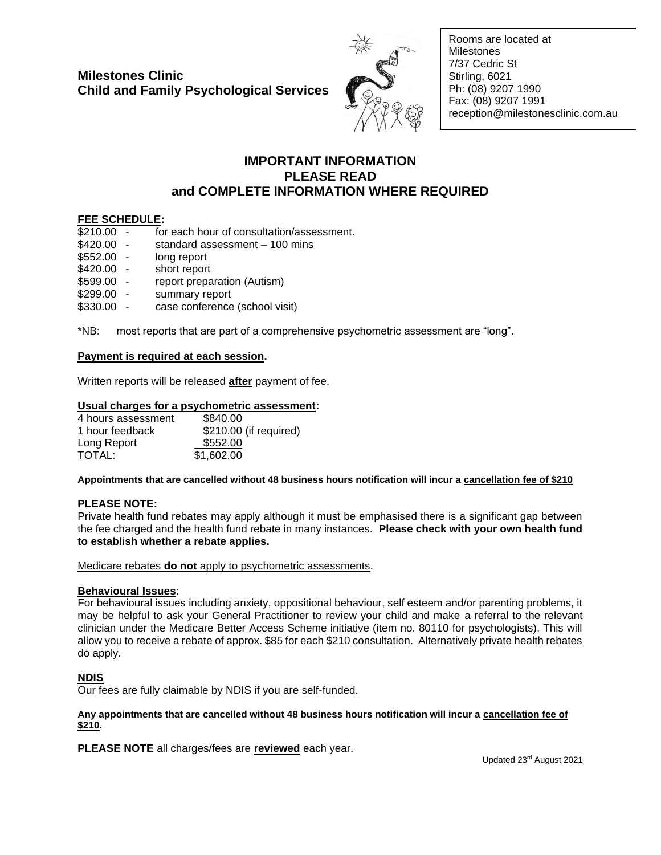

Rooms are located at **Milestones** 7/37 Cedric St Stirling, 6021 Ph: (08) 9207 1990 Fax: (08) 9207 1991 reception@milestonesclinic.com.au

#### **IMPORTANT INFORMATION PLEASE READ and COMPLETE INFORMATION WHERE REQUIRED**

#### **FEE SCHEDULE:**

| \$210.00 | for each hour of consultation/assessment.         |
|----------|---------------------------------------------------|
| \$420.00 | standard assessment - 100 mins                    |
| \$552.00 | long report                                       |
| \$420.00 | short report                                      |
| \$599.00 | report preparation (Autism)                       |
| \$299.00 | summary report                                    |
| \$330.00 | case conference (school visit)                    |
| *ND.     | meet reperte that are part of a comprehensive pow |

\*NB: most reports that are part of a comprehensive psychometric assessment are "long".

#### **Payment is required at each session.**

Written reports will be released **after** payment of fee.

#### **Usual charges for a psychometric assessment:**

| 4 hours assessment | \$840.00               |
|--------------------|------------------------|
| 1 hour feedback    | \$210.00 (if required) |
| Long Report        | \$552.00               |
| TOTAL:             | \$1,602.00             |

**Appointments that are cancelled without 48 business hours notification will incur a cancellation fee of \$210**

#### **PLEASE NOTE:**

Private health fund rebates may apply although it must be emphasised there is a significant gap between the fee charged and the health fund rebate in many instances. **Please check with your own health fund to establish whether a rebate applies.**

Medicare rebates **do not** apply to psychometric assessments.

#### **Behavioural Issues**:

For behavioural issues including anxiety, oppositional behaviour, self esteem and/or parenting problems, it may be helpful to ask your General Practitioner to review your child and make a referral to the relevant clinician under the Medicare Better Access Scheme initiative (item no. 80110 for psychologists). This will allow you to receive a rebate of approx. \$85 for each \$210 consultation. Alternatively private health rebates do apply.

#### **NDIS**

Our fees are fully claimable by NDIS if you are self-funded.

#### **Any appointments that are cancelled without 48 business hours notification will incur a cancellation fee of \$210.**

**PLEASE NOTE** all charges/fees are **reviewed** each year.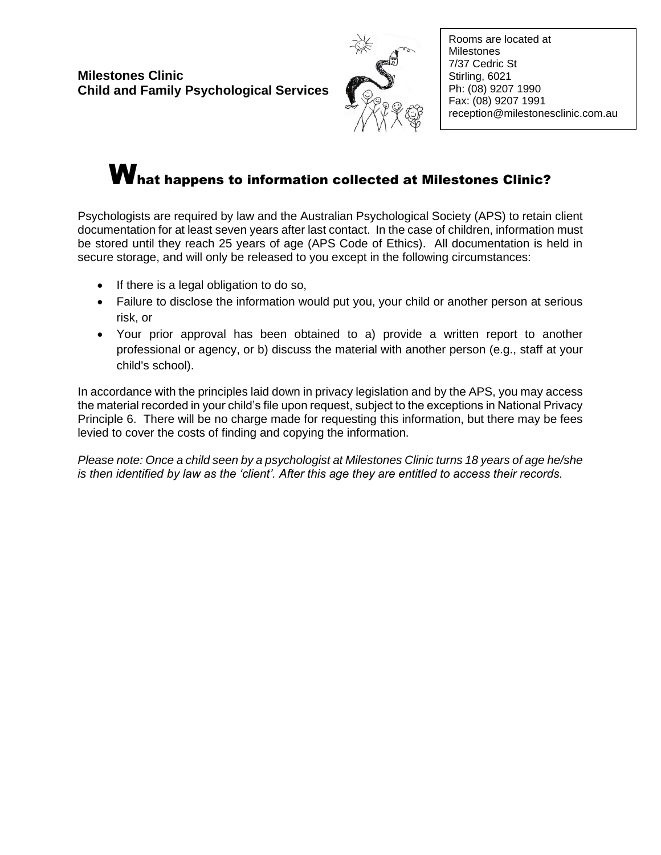

Rooms are located at Milestones 7/37 Cedric St Stirling, 6021 Ph: (08) 9207 1990 Fax: (08) 9207 1991 reception@milestonesclinic.com.au

# What happens to information collected at Milestones Clinic?

Psychologists are required by law and the Australian Psychological Society (APS) to retain client documentation for at least seven years after last contact. In the case of children, information must be stored until they reach 25 years of age (APS Code of Ethics). All documentation is held in secure storage, and will only be released to you except in the following circumstances:

- If there is a legal obligation to do so,
- Failure to disclose the information would put you, your child or another person at serious risk, or
- Your prior approval has been obtained to a) provide a written report to another professional or agency, or b) discuss the material with another person (e.g., staff at your child's school).

In accordance with the principles laid down in privacy legislation and by the APS, you may access the material recorded in your child's file upon request, subject to the exceptions in National Privacy Principle 6. There will be no charge made for requesting this information, but there may be fees levied to cover the costs of finding and copying the information.

*Please note: Once a child seen by a psychologist at Milestones Clinic turns 18 years of age he/she is then identified by law as the 'client'. After this age they are entitled to access their records.*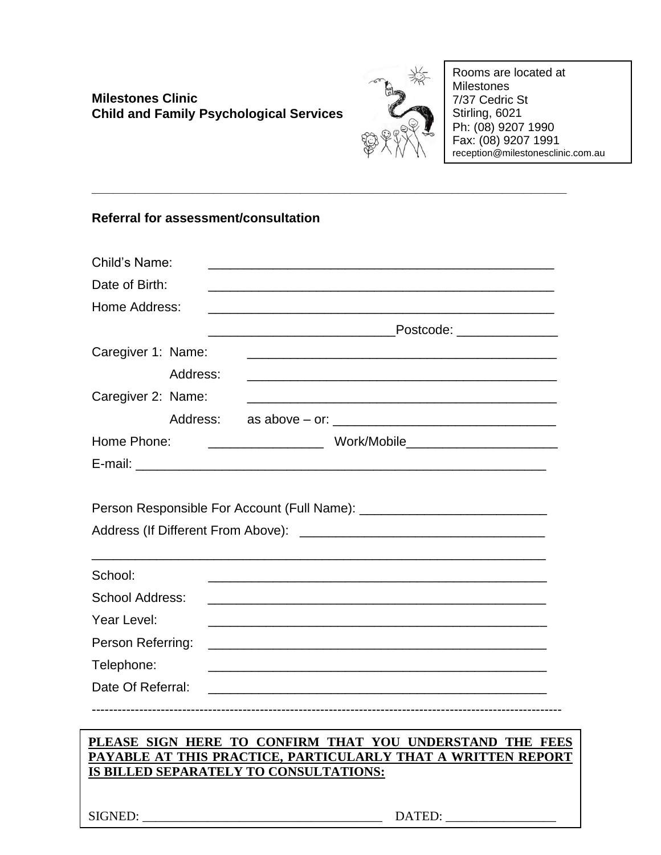

Rooms are located at Milestones 7/37 Cedric St Stirling, 6021 Ph: (08) 9207 1990 Fax: (08) 9207 1991 reception@milestonesclinic.com.au

## **Referral for assessment/consultation**

| Child's Name:                     |          |                                                                                                                                                                    |
|-----------------------------------|----------|--------------------------------------------------------------------------------------------------------------------------------------------------------------------|
| Date of Birth:                    |          |                                                                                                                                                                    |
| Home Address:                     |          |                                                                                                                                                                    |
|                                   |          |                                                                                                                                                                    |
| Caregiver 1: Name:                |          |                                                                                                                                                                    |
|                                   | Address: |                                                                                                                                                                    |
| Caregiver 2: Name:                |          |                                                                                                                                                                    |
|                                   | Address: |                                                                                                                                                                    |
| Home Phone:                       |          |                                                                                                                                                                    |
|                                   |          |                                                                                                                                                                    |
| School:<br><b>School Address:</b> |          |                                                                                                                                                                    |
| Year Level:                       |          |                                                                                                                                                                    |
| Person Referring:                 |          |                                                                                                                                                                    |
| Telephone:                        |          |                                                                                                                                                                    |
| Date Of Referral:                 |          |                                                                                                                                                                    |
|                                   |          |                                                                                                                                                                    |
|                                   |          | PLEASE SIGN HERE TO CONFIRM THAT YOU UNDERSTAND THE FEES<br>PAYABLE AT THIS PRACTICE, PARTICULARLY THAT A WRITTEN REPORT<br>IS BILLED SEPARATELY TO CONSULTATIONS: |
|                                   |          |                                                                                                                                                                    |

**\_\_\_\_\_\_\_\_\_\_\_\_\_\_\_\_\_\_\_\_\_\_\_\_\_\_\_\_\_\_\_\_\_\_\_\_\_\_\_\_\_\_\_\_\_\_\_\_\_\_\_\_\_\_\_\_\_\_\_\_\_\_\_\_\_\_**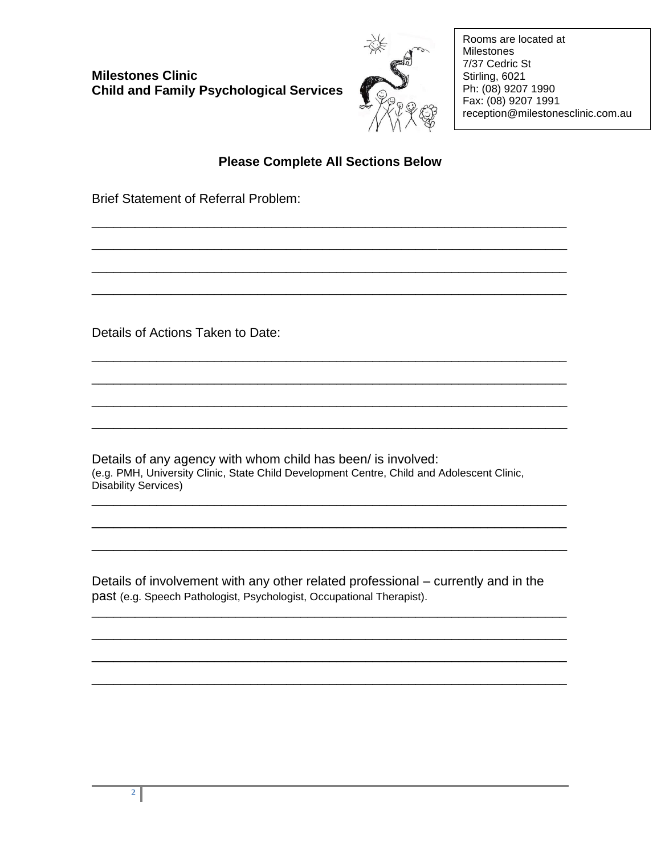

Rooms are located at Milestones 7/37 Cedric St Stirling, 6021 Ph: (08) 9207 1990 Fax: (08) 9207 1991 reception@milestonesclinic.com.au

## **Please Complete All Sections Below**

\_\_\_\_\_\_\_\_\_\_\_\_\_\_\_\_\_\_\_\_\_\_\_\_\_\_\_\_\_\_\_\_\_\_\_\_\_\_\_\_\_\_\_\_\_\_\_\_\_\_\_\_\_\_\_\_\_\_\_\_\_\_\_\_\_\_

\_\_\_\_\_\_\_\_\_\_\_\_\_\_\_\_\_\_\_\_\_\_\_\_\_\_\_\_\_\_\_\_\_\_\_\_\_\_\_\_\_\_\_\_\_\_\_\_\_\_\_\_\_\_\_\_\_\_\_\_\_\_\_\_\_\_

\_\_\_\_\_\_\_\_\_\_\_\_\_\_\_\_\_\_\_\_\_\_\_\_\_\_\_\_\_\_\_\_\_\_\_\_\_\_\_\_\_\_\_\_\_\_\_\_\_\_\_\_\_\_\_\_\_\_\_\_\_\_\_\_\_\_

\_\_\_\_\_\_\_\_\_\_\_\_\_\_\_\_\_\_\_\_\_\_\_\_\_\_\_\_\_\_\_\_\_\_\_\_\_\_\_\_\_\_\_\_\_\_\_\_\_\_\_\_\_\_\_\_\_\_\_\_\_\_\_\_\_\_

\_\_\_\_\_\_\_\_\_\_\_\_\_\_\_\_\_\_\_\_\_\_\_\_\_\_\_\_\_\_\_\_\_\_\_\_\_\_\_\_\_\_\_\_\_\_\_\_\_\_\_\_\_\_\_\_\_\_\_\_\_\_\_\_\_\_

\_\_\_\_\_\_\_\_\_\_\_\_\_\_\_\_\_\_\_\_\_\_\_\_\_\_\_\_\_\_\_\_\_\_\_\_\_\_\_\_\_\_\_\_\_\_\_\_\_\_\_\_\_\_\_\_\_\_\_\_\_\_\_\_\_\_

\_\_\_\_\_\_\_\_\_\_\_\_\_\_\_\_\_\_\_\_\_\_\_\_\_\_\_\_\_\_\_\_\_\_\_\_\_\_\_\_\_\_\_\_\_\_\_\_\_\_\_\_\_\_\_\_\_\_\_\_\_\_\_\_\_\_

\_\_\_\_\_\_\_\_\_\_\_\_\_\_\_\_\_\_\_\_\_\_\_\_\_\_\_\_\_\_\_\_\_\_\_\_\_\_\_\_\_\_\_\_\_\_\_\_\_\_\_\_\_\_\_\_\_\_\_\_\_\_\_\_\_\_

\_\_\_\_\_\_\_\_\_\_\_\_\_\_\_\_\_\_\_\_\_\_\_\_\_\_\_\_\_\_\_\_\_\_\_\_\_\_\_\_\_\_\_\_\_\_\_\_\_\_\_\_\_\_\_\_\_\_\_\_\_\_\_\_\_\_

\_\_\_\_\_\_\_\_\_\_\_\_\_\_\_\_\_\_\_\_\_\_\_\_\_\_\_\_\_\_\_\_\_\_\_\_\_\_\_\_\_\_\_\_\_\_\_\_\_\_\_\_\_\_\_\_\_\_\_\_\_\_\_\_\_\_

\_\_\_\_\_\_\_\_\_\_\_\_\_\_\_\_\_\_\_\_\_\_\_\_\_\_\_\_\_\_\_\_\_\_\_\_\_\_\_\_\_\_\_\_\_\_\_\_\_\_\_\_\_\_\_\_\_\_\_\_\_\_\_\_\_\_

\_\_\_\_\_\_\_\_\_\_\_\_\_\_\_\_\_\_\_\_\_\_\_\_\_\_\_\_\_\_\_\_\_\_\_\_\_\_\_\_\_\_\_\_\_\_\_\_\_\_\_\_\_\_\_\_\_\_\_\_\_\_\_\_\_\_

\_\_\_\_\_\_\_\_\_\_\_\_\_\_\_\_\_\_\_\_\_\_\_\_\_\_\_\_\_\_\_\_\_\_\_\_\_\_\_\_\_\_\_\_\_\_\_\_\_\_\_\_\_\_\_\_\_\_\_\_\_\_\_\_\_\_

\_\_\_\_\_\_\_\_\_\_\_\_\_\_\_\_\_\_\_\_\_\_\_\_\_\_\_\_\_\_\_\_\_\_\_\_\_\_\_\_\_\_\_\_\_\_\_\_\_\_\_\_\_\_\_\_\_\_\_\_\_\_\_\_\_\_

\_\_\_\_\_\_\_\_\_\_\_\_\_\_\_\_\_\_\_\_\_\_\_\_\_\_\_\_\_\_\_\_\_\_\_\_\_\_\_\_\_\_\_\_\_\_\_\_\_\_\_\_\_\_\_\_\_\_\_\_\_\_\_\_\_\_

Brief Statement of Referral Problem:

Details of Actions Taken to Date:

Details of any agency with whom child has been/ is involved: (e.g. PMH, University Clinic, State Child Development Centre, Child and Adolescent Clinic, Disability Services)

Details of involvement with any other related professional – currently and in the past (e.g. Speech Pathologist, Psychologist, Occupational Therapist).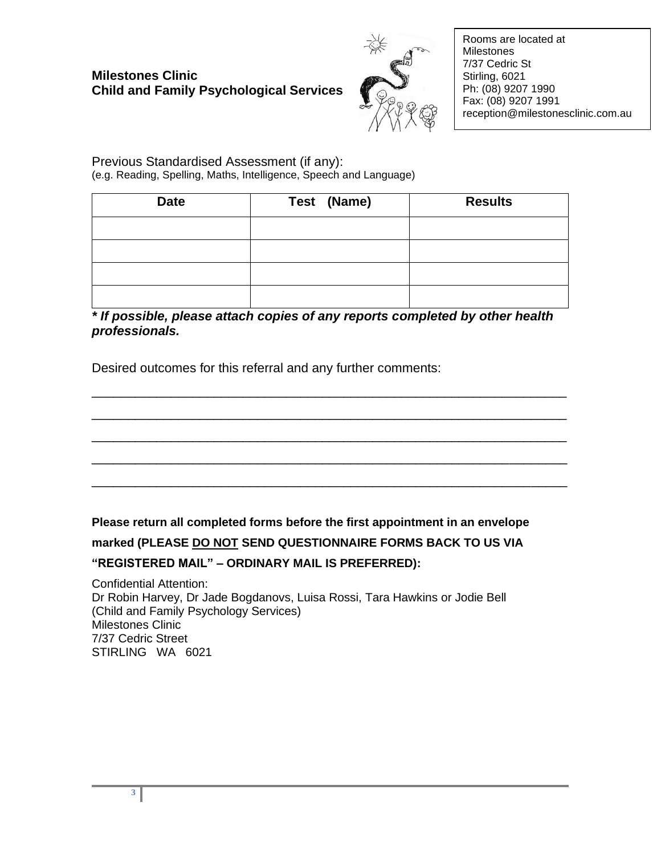

Rooms are located at Milestones 7/37 Cedric St Stirling, 6021 Ph: (08) 9207 1990 Fax: (08) 9207 1991 reception@milestonesclinic.com.au

Previous Standardised Assessment (if any): (e.g. Reading, Spelling, Maths, Intelligence, Speech and Language)

| <b>Date</b> | Test (Name) | <b>Results</b> |
|-------------|-------------|----------------|
|             |             |                |
|             |             |                |
|             |             |                |
|             |             |                |

*\* If possible, please attach copies of any reports completed by other health professionals.* 

\_\_\_\_\_\_\_\_\_\_\_\_\_\_\_\_\_\_\_\_\_\_\_\_\_\_\_\_\_\_\_\_\_\_\_\_\_\_\_\_\_\_\_\_\_\_\_\_\_\_\_\_\_\_\_\_\_\_\_\_\_\_\_\_\_\_

\_\_\_\_\_\_\_\_\_\_\_\_\_\_\_\_\_\_\_\_\_\_\_\_\_\_\_\_\_\_\_\_\_\_\_\_\_\_\_\_\_\_\_\_\_\_\_\_\_\_\_\_\_\_\_\_\_\_\_\_\_\_\_\_\_\_

\_\_\_\_\_\_\_\_\_\_\_\_\_\_\_\_\_\_\_\_\_\_\_\_\_\_\_\_\_\_\_\_\_\_\_\_\_\_\_\_\_\_\_\_\_\_\_\_\_\_\_\_\_\_\_\_\_\_\_\_\_\_\_\_\_\_

\_\_\_\_\_\_\_\_\_\_\_\_\_\_\_\_\_\_\_\_\_\_\_\_\_\_\_\_\_\_\_\_\_\_\_\_\_\_\_\_\_\_\_\_\_\_\_\_\_\_\_\_\_\_\_\_\_\_\_\_\_\_\_\_\_\_

\_\_\_\_\_\_\_\_\_\_\_\_\_\_\_\_\_\_\_\_\_\_\_\_\_\_\_\_\_\_\_\_\_\_\_\_\_\_\_\_\_\_\_\_\_\_\_\_\_\_\_\_\_\_\_\_\_\_\_\_\_\_\_\_\_\_

Desired outcomes for this referral and any further comments:

**Please return all completed forms before the first appointment in an envelope marked (PLEASE DO NOT SEND QUESTIONNAIRE FORMS BACK TO US VIA "REGISTERED MAIL" – ORDINARY MAIL IS PREFERRED):**

Confidential Attention: Dr Robin Harvey, Dr Jade Bogdanovs, Luisa Rossi, Tara Hawkins or Jodie Bell (Child and Family Psychology Services) Milestones Clinic 7/37 Cedric Street STIRLING WA 6021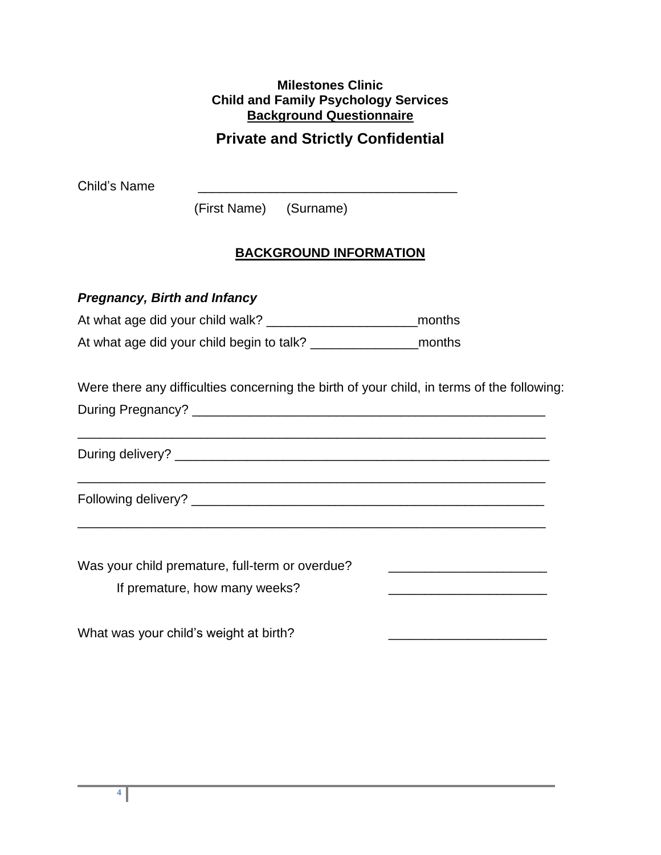### **Milestones Clinic Child and Family Psychology Services Background Questionnaire**

# **Private and Strictly Confidential**

Child's Name **with the contract of the contract of the contract of the contract of the contract of the contract of the contract of the contract of the contract of the contract of the contract of the contract of the contrac** 

(First Name) (Surname)

## **BACKGROUND INFORMATION**

## *Pregnancy, Birth and Infancy*

At what age did your child walk? \_\_\_\_\_\_\_\_\_\_\_\_\_\_\_\_\_\_\_\_\_months

At what age did your child begin to talk? \_\_\_\_\_\_\_\_\_\_\_\_\_\_\_months

Were there any difficulties concerning the birth of your child, in terms of the following:

During Pregnancy? \_\_\_\_\_\_\_\_\_\_\_\_\_\_\_\_\_\_\_\_\_\_\_\_\_\_\_\_\_\_\_\_\_\_\_\_\_\_\_\_\_\_\_\_\_\_\_\_\_

During delivery? \_\_\_\_\_\_\_\_\_\_\_\_\_\_\_\_\_\_\_\_\_\_\_\_\_\_\_\_\_\_\_\_\_\_\_\_\_\_\_\_\_\_\_\_\_\_\_\_\_\_\_\_

\_\_\_\_\_\_\_\_\_\_\_\_\_\_\_\_\_\_\_\_\_\_\_\_\_\_\_\_\_\_\_\_\_\_\_\_\_\_\_\_\_\_\_\_\_\_\_\_\_\_\_\_\_\_\_\_\_\_\_\_\_\_\_\_\_

\_\_\_\_\_\_\_\_\_\_\_\_\_\_\_\_\_\_\_\_\_\_\_\_\_\_\_\_\_\_\_\_\_\_\_\_\_\_\_\_\_\_\_\_\_\_\_\_\_\_\_\_\_\_\_\_\_\_\_\_\_\_\_\_\_

Following delivery? \_\_\_\_\_\_\_\_\_\_\_\_\_\_\_\_\_\_\_\_\_\_\_\_\_\_\_\_\_\_\_\_\_\_\_\_\_\_\_\_\_\_\_\_\_\_\_\_\_

| Was your child premature, full-term or overdue? |  |
|-------------------------------------------------|--|
| If premature, how many weeks?                   |  |
|                                                 |  |
|                                                 |  |

What was your child's weight at birth?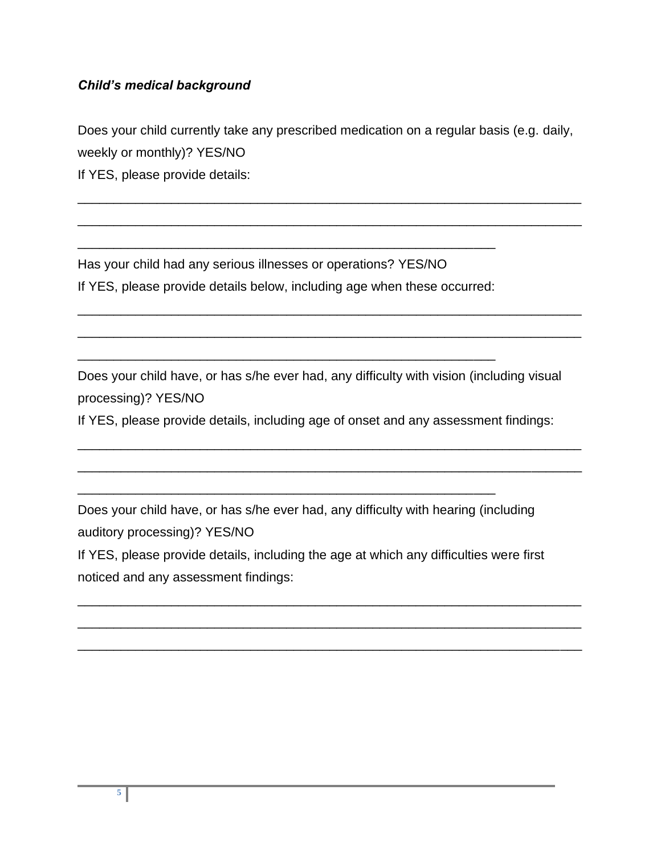## *Child's medical background*

Does your child currently take any prescribed medication on a regular basis (e.g. daily, weekly or monthly)? YES/NO

\_\_\_\_\_\_\_\_\_\_\_\_\_\_\_\_\_\_\_\_\_\_\_\_\_\_\_\_\_\_\_\_\_\_\_\_\_\_\_\_\_\_\_\_\_\_\_\_\_\_\_\_\_\_\_\_\_\_\_\_\_\_\_\_\_\_\_\_\_\_

\_\_\_\_\_\_\_\_\_\_\_\_\_\_\_\_\_\_\_\_\_\_\_\_\_\_\_\_\_\_\_\_\_\_\_\_\_\_\_\_\_\_\_\_\_\_\_\_\_\_\_\_\_\_\_\_\_\_\_\_\_\_\_\_\_\_\_\_\_\_

\_\_\_\_\_\_\_\_\_\_\_\_\_\_\_\_\_\_\_\_\_\_\_\_\_\_\_\_\_\_\_\_\_\_\_\_\_\_\_\_\_\_\_\_\_\_\_\_\_\_\_\_\_\_\_\_\_\_\_\_\_\_\_\_\_\_\_\_\_\_

\_\_\_\_\_\_\_\_\_\_\_\_\_\_\_\_\_\_\_\_\_\_\_\_\_\_\_\_\_\_\_\_\_\_\_\_\_\_\_\_\_\_\_\_\_\_\_\_\_\_\_\_\_\_\_\_\_\_\_\_\_\_\_\_\_\_\_\_\_\_

If YES, please provide details:

Has your child had any serious illnesses or operations? YES/NO If YES, please provide details below, including age when these occurred:

\_\_\_\_\_\_\_\_\_\_\_\_\_\_\_\_\_\_\_\_\_\_\_\_\_\_\_\_\_\_\_\_\_\_\_\_\_\_\_\_\_\_\_\_\_\_\_\_\_\_\_\_\_\_\_\_\_\_

\_\_\_\_\_\_\_\_\_\_\_\_\_\_\_\_\_\_\_\_\_\_\_\_\_\_\_\_\_\_\_\_\_\_\_\_\_\_\_\_\_\_\_\_\_\_\_\_\_\_\_\_\_\_\_\_\_\_

Does your child have, or has s/he ever had, any difficulty with vision (including visual processing)? YES/NO

If YES, please provide details, including age of onset and any assessment findings:

\_\_\_\_\_\_\_\_\_\_\_\_\_\_\_\_\_\_\_\_\_\_\_\_\_\_\_\_\_\_\_\_\_\_\_\_\_\_\_\_\_\_\_\_\_\_\_\_\_\_\_\_\_\_\_\_\_\_\_\_\_\_\_\_\_\_\_\_\_\_

\_\_\_\_\_\_\_\_\_\_\_\_\_\_\_\_\_\_\_\_\_\_\_\_\_\_\_\_\_\_\_\_\_\_\_\_\_\_\_\_\_\_\_\_\_\_\_\_\_\_\_\_\_\_\_\_\_\_\_\_\_\_\_\_\_\_\_\_\_\_

Does your child have, or has s/he ever had, any difficulty with hearing (including auditory processing)? YES/NO

\_\_\_\_\_\_\_\_\_\_\_\_\_\_\_\_\_\_\_\_\_\_\_\_\_\_\_\_\_\_\_\_\_\_\_\_\_\_\_\_\_\_\_\_\_\_\_\_\_\_\_\_\_\_\_\_\_\_

If YES, please provide details, including the age at which any difficulties were first noticed and any assessment findings:

\_\_\_\_\_\_\_\_\_\_\_\_\_\_\_\_\_\_\_\_\_\_\_\_\_\_\_\_\_\_\_\_\_\_\_\_\_\_\_\_\_\_\_\_\_\_\_\_\_\_\_\_\_\_\_\_\_\_\_\_\_\_\_\_\_\_\_\_\_\_

\_\_\_\_\_\_\_\_\_\_\_\_\_\_\_\_\_\_\_\_\_\_\_\_\_\_\_\_\_\_\_\_\_\_\_\_\_\_\_\_\_\_\_\_\_\_\_\_\_\_\_\_\_\_\_\_\_\_\_\_\_\_\_\_\_\_\_\_\_\_

\_\_\_\_\_\_\_\_\_\_\_\_\_\_\_\_\_\_\_\_\_\_\_\_\_\_\_\_\_\_\_\_\_\_\_\_\_\_\_\_\_\_\_\_\_\_\_\_\_\_\_\_\_\_\_\_\_\_\_\_\_\_\_\_\_\_\_\_\_\_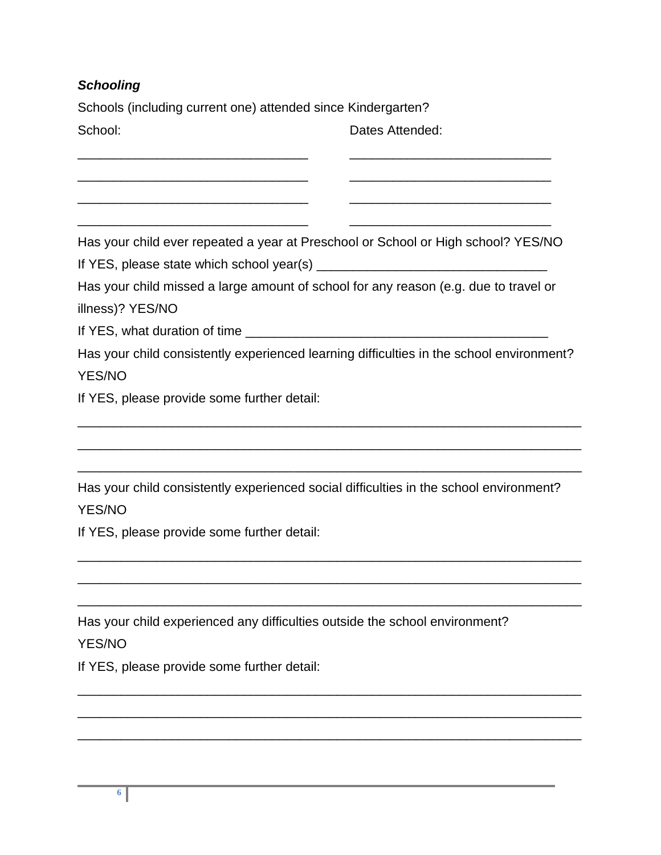## *Schooling*

Schools (including current one) attended since Kindergarten? School: **Dates Attended: Dates Attended:** 

Has your child ever repeated a year at Preschool or School or High school? YES/NO

\_\_\_\_\_\_\_\_\_\_\_\_\_\_\_\_\_\_\_\_\_\_\_\_\_\_\_\_\_\_\_\_ \_\_\_\_\_\_\_\_\_\_\_\_\_\_\_\_\_\_\_\_\_\_\_\_\_\_\_\_

\_\_\_\_\_\_\_\_\_\_\_\_\_\_\_\_\_\_\_\_\_\_\_\_\_\_\_\_\_\_\_\_ \_\_\_\_\_\_\_\_\_\_\_\_\_\_\_\_\_\_\_\_\_\_\_\_\_\_\_\_

\_\_\_\_\_\_\_\_\_\_\_\_\_\_\_\_\_\_\_\_\_\_\_\_\_\_\_\_\_\_\_\_ \_\_\_\_\_\_\_\_\_\_\_\_\_\_\_\_\_\_\_\_\_\_\_\_\_\_\_\_

\_\_\_\_\_\_\_\_\_\_\_\_\_\_\_\_\_\_\_\_\_\_\_\_\_\_\_\_\_\_\_\_ \_\_\_\_\_\_\_\_\_\_\_\_\_\_\_\_\_\_\_\_\_\_\_\_\_\_\_\_

If YES, please state which school year(s) \_\_\_\_\_\_\_\_\_\_\_\_\_\_\_\_\_\_\_\_\_\_\_\_\_\_\_\_\_\_\_\_

Has your child missed a large amount of school for any reason (e.g. due to travel or

illness)? YES/NO

If YES, what duration of time \_\_\_\_\_\_\_\_\_\_\_\_\_\_\_\_\_\_\_\_\_\_\_\_\_\_\_\_\_\_\_\_\_\_\_\_\_\_\_\_\_\_

Has your child consistently experienced learning difficulties in the school environment?

\_\_\_\_\_\_\_\_\_\_\_\_\_\_\_\_\_\_\_\_\_\_\_\_\_\_\_\_\_\_\_\_\_\_\_\_\_\_\_\_\_\_\_\_\_\_\_\_\_\_\_\_\_\_\_\_\_\_\_\_\_\_\_\_\_\_\_\_\_\_

\_\_\_\_\_\_\_\_\_\_\_\_\_\_\_\_\_\_\_\_\_\_\_\_\_\_\_\_\_\_\_\_\_\_\_\_\_\_\_\_\_\_\_\_\_\_\_\_\_\_\_\_\_\_\_\_\_\_\_\_\_\_\_\_\_\_\_\_\_\_

\_\_\_\_\_\_\_\_\_\_\_\_\_\_\_\_\_\_\_\_\_\_\_\_\_\_\_\_\_\_\_\_\_\_\_\_\_\_\_\_\_\_\_\_\_\_\_\_\_\_\_\_\_\_\_\_\_\_\_\_\_\_\_\_\_\_\_\_\_\_

\_\_\_\_\_\_\_\_\_\_\_\_\_\_\_\_\_\_\_\_\_\_\_\_\_\_\_\_\_\_\_\_\_\_\_\_\_\_\_\_\_\_\_\_\_\_\_\_\_\_\_\_\_\_\_\_\_\_\_\_\_\_\_\_\_\_\_\_\_\_

\_\_\_\_\_\_\_\_\_\_\_\_\_\_\_\_\_\_\_\_\_\_\_\_\_\_\_\_\_\_\_\_\_\_\_\_\_\_\_\_\_\_\_\_\_\_\_\_\_\_\_\_\_\_\_\_\_\_\_\_\_\_\_\_\_\_\_\_\_\_

\_\_\_\_\_\_\_\_\_\_\_\_\_\_\_\_\_\_\_\_\_\_\_\_\_\_\_\_\_\_\_\_\_\_\_\_\_\_\_\_\_\_\_\_\_\_\_\_\_\_\_\_\_\_\_\_\_\_\_\_\_\_\_\_\_\_\_\_\_\_

\_\_\_\_\_\_\_\_\_\_\_\_\_\_\_\_\_\_\_\_\_\_\_\_\_\_\_\_\_\_\_\_\_\_\_\_\_\_\_\_\_\_\_\_\_\_\_\_\_\_\_\_\_\_\_\_\_\_\_\_\_\_\_\_\_\_\_\_\_\_

\_\_\_\_\_\_\_\_\_\_\_\_\_\_\_\_\_\_\_\_\_\_\_\_\_\_\_\_\_\_\_\_\_\_\_\_\_\_\_\_\_\_\_\_\_\_\_\_\_\_\_\_\_\_\_\_\_\_\_\_\_\_\_\_\_\_\_\_\_\_

\_\_\_\_\_\_\_\_\_\_\_\_\_\_\_\_\_\_\_\_\_\_\_\_\_\_\_\_\_\_\_\_\_\_\_\_\_\_\_\_\_\_\_\_\_\_\_\_\_\_\_\_\_\_\_\_\_\_\_\_\_\_\_\_\_\_\_\_\_\_

YES/NO

If YES, please provide some further detail:

Has your child consistently experienced social difficulties in the school environment? YES/NO

If YES, please provide some further detail:

Has your child experienced any difficulties outside the school environment? YES/NO

If YES, please provide some further detail: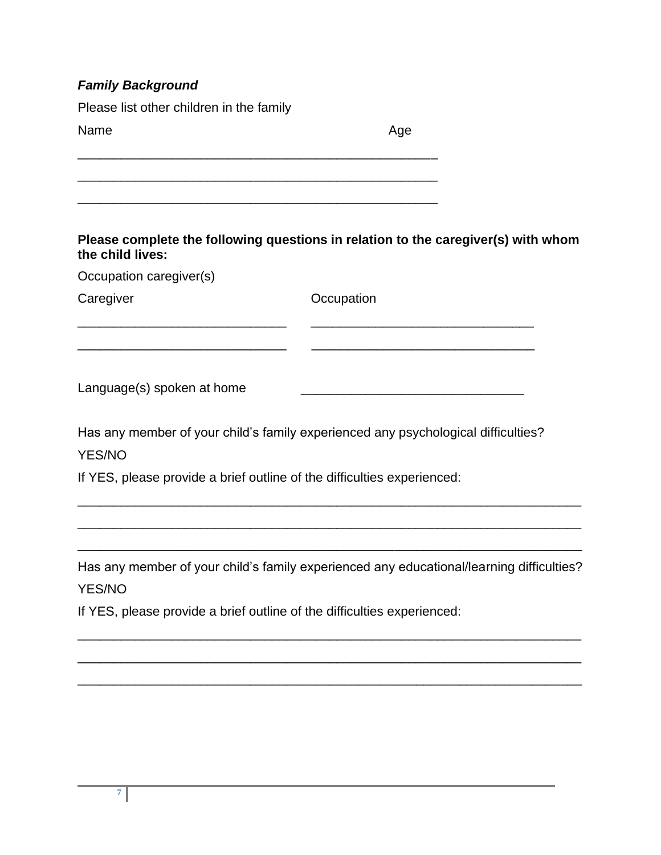| <b>Family Background</b>                                                                                        |                                                                                          |
|-----------------------------------------------------------------------------------------------------------------|------------------------------------------------------------------------------------------|
| Please list other children in the family                                                                        |                                                                                          |
| Name                                                                                                            | Age                                                                                      |
|                                                                                                                 |                                                                                          |
| the child lives:                                                                                                | Please complete the following questions in relation to the caregiver(s) with whom        |
| Occupation caregiver(s)                                                                                         |                                                                                          |
| Caregiver                                                                                                       | Occupation                                                                               |
| Language(s) spoken at home<br>YES/NO<br>If YES, please provide a brief outline of the difficulties experienced: | Has any member of your child's family experienced any psychological difficulties?        |
| <b>YES/NO</b><br>If YES, please provide a brief outline of the difficulties experienced:                        | Has any member of your child's family experienced any educational/learning difficulties? |
|                                                                                                                 |                                                                                          |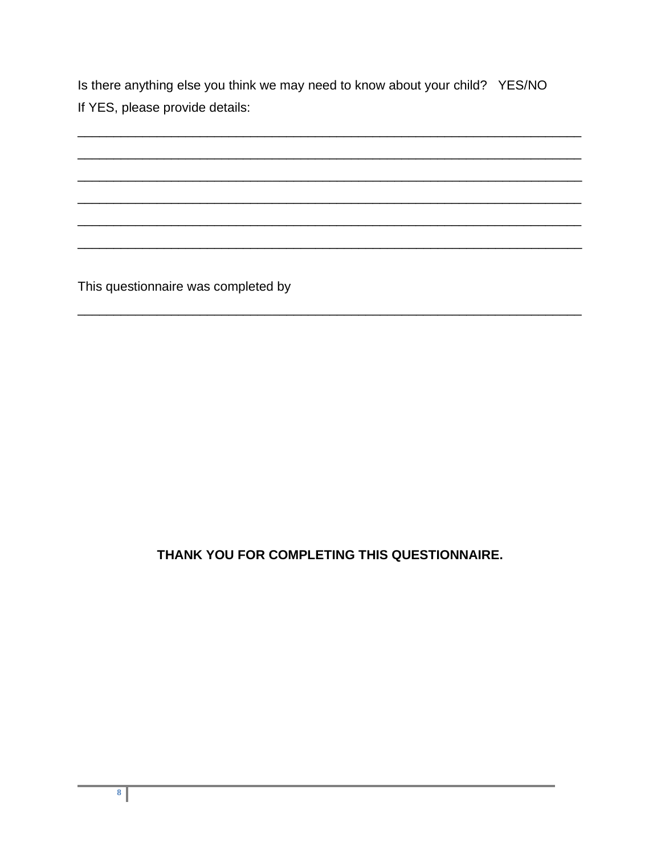Is there anything else you think we may need to know about your child? YES/NO If YES, please provide details:

This questionnaire was completed by

# THANK YOU FOR COMPLETING THIS QUESTIONNAIRE.